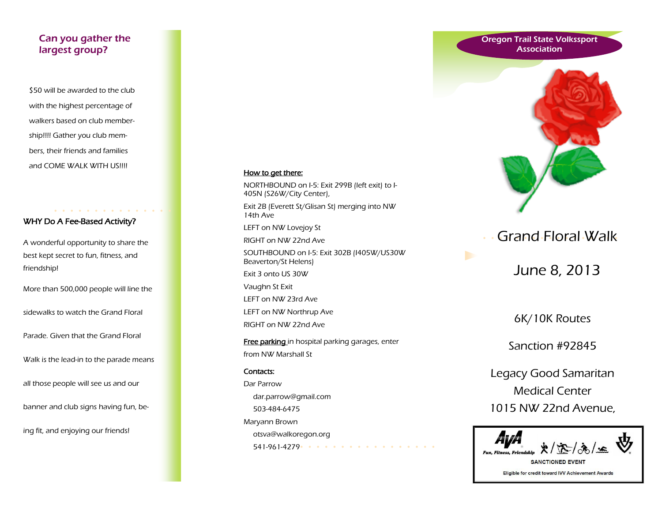## Can you gather the largest group?

\$50 will be awarded to the club with the highest percentage of walkers based on club membership!!!! Gather you club members, their friends and families and COME WALK WITH US!!!!

# WHY Do A Fee-Based Activity?

**Allen Allen Allen Allen** 

A wonderful opportunity to share the best kept secret to fun, fitness, and friendship!

More than 500,000 people will line the

sidewalks to watch the Grand Floral

Parade. Given that the Grand Floral

Walk is the lead-in to the parade means

all those people will see us and our

banner and club signs having fun, be-

ing fit, and enjoying our friends!

#### How to get there:

NORTHBOUND on I-5: Exit 299B (left exit) to I-405N (S26W/City Center),

Exit 2B (Everett St/Glisan St) merging into NW 14th Ave

LEFT on NW Lovejoy St

RIGHT on NW 22nd Ave

SOUTHBOUND on I-5: Exit 302B (I405W/US30W Beaverton/St Helens)

Exit 3 onto US 30W

Vaughn St Exit

LEFT on NW 23rd Ave

LEFT on NW Northrup Ave

RIGHT on NW 22nd Ave

Free parking in hospital parking garages, enter from NW Marshall St

#### Contacts:

Dar Parrow dar.parrow@gmail.com 503-484-6475 Maryann Brown otsva@walkoregon.org 541-961-4279





# Grand Floral Walk

June 8, 2013

6K/10K Routes

Sanction #92845

Legacy Good Samaritan Medical Center 1015 NW 22nd Avenue,



**SANCTIONED EVENT** Eligible for credit toward IVV Achievement Awards